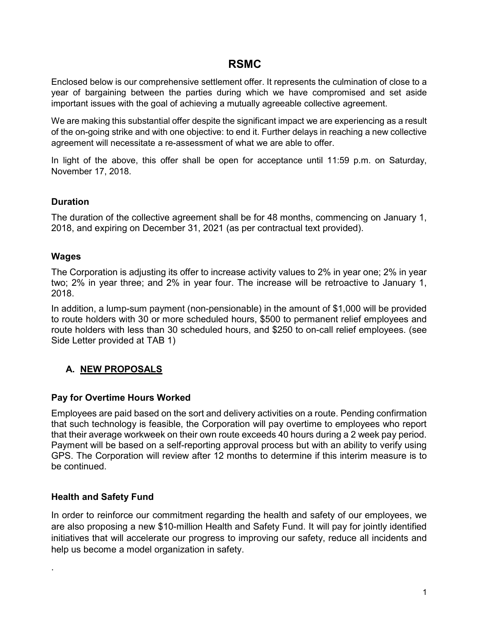# RSMC

Enclosed below is our comprehensive settlement offer. It represents the culmination of close to a year of bargaining between the parties during which we have compromised and set aside important issues with the goal of achieving a mutually agreeable collective agreement.

We are making this substantial offer despite the significant impact we are experiencing as a result of the on-going strike and with one objective: to end it. Further delays in reaching a new collective agreement will necessitate a re-assessment of what we are able to offer.

In light of the above, this offer shall be open for acceptance until 11:59 p.m. on Saturday, November 17, 2018.

### Duration

The duration of the collective agreement shall be for 48 months, commencing on January 1, 2018, and expiring on December 31, 2021 (as per contractual text provided).

## Wages

The Corporation is adjusting its offer to increase activity values to 2% in year one; 2% in year two; 2% in year three; and 2% in year four. The increase will be retroactive to January 1, 2018.

In addition, a lump-sum payment (non-pensionable) in the amount of \$1,000 will be provided to route holders with 30 or more scheduled hours, \$500 to permanent relief employees and route holders with less than 30 scheduled hours, and \$250 to on-call relief employees. (see Side Letter provided at TAB 1)

# A. NEW PROPOSALS

#### Pay for Overtime Hours Worked

Employees are paid based on the sort and delivery activities on a route. Pending confirmation that such technology is feasible, the Corporation will pay overtime to employees who report that their average workweek on their own route exceeds 40 hours during a 2 week pay period. Payment will be based on a self-reporting approval process but with an ability to verify using GPS. The Corporation will review after 12 months to determine if this interim measure is to be continued.

#### Health and Safety Fund

.

In order to reinforce our commitment regarding the health and safety of our employees, we are also proposing a new \$10-million Health and Safety Fund. It will pay for jointly identified initiatives that will accelerate our progress to improving our safety, reduce all incidents and help us become a model organization in safety.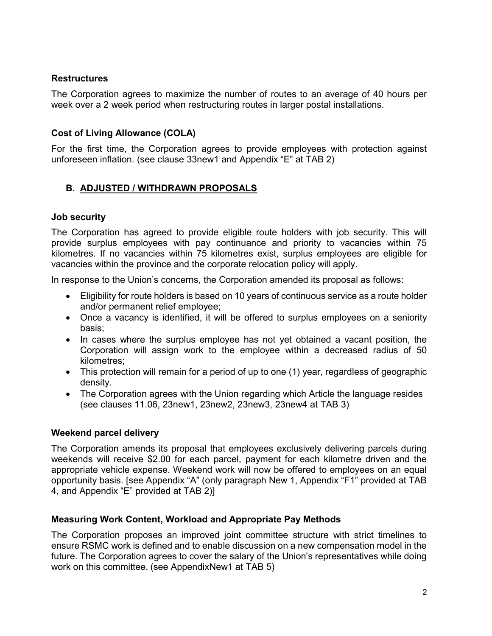## **Restructures**

The Corporation agrees to maximize the number of routes to an average of 40 hours per week over a 2 week period when restructuring routes in larger postal installations.

## Cost of Living Allowance (COLA)

For the first time, the Corporation agrees to provide employees with protection against unforeseen inflation. (see clause 33new1 and Appendix "E" at TAB 2)

## B. ADJUSTED / WITHDRAWN PROPOSALS

## Job security

The Corporation has agreed to provide eligible route holders with job security. This will provide surplus employees with pay continuance and priority to vacancies within 75 kilometres. If no vacancies within 75 kilometres exist, surplus employees are eligible for vacancies within the province and the corporate relocation policy will apply.

In response to the Union's concerns, the Corporation amended its proposal as follows:

- Eligibility for route holders is based on 10 years of continuous service as a route holder and/or permanent relief employee;
- Once a vacancy is identified, it will be offered to surplus employees on a seniority basis;
- In cases where the surplus employee has not yet obtained a vacant position, the Corporation will assign work to the employee within a decreased radius of 50 kilometres;
- This protection will remain for a period of up to one (1) year, regardless of geographic density.
- The Corporation agrees with the Union regarding which Article the language resides (see clauses 11.06, 23new1, 23new2, 23new3, 23new4 at TAB 3)

## Weekend parcel delivery

The Corporation amends its proposal that employees exclusively delivering parcels during weekends will receive \$2.00 for each parcel, payment for each kilometre driven and the appropriate vehicle expense. Weekend work will now be offered to employees on an equal opportunity basis. [see Appendix "A" (only paragraph New 1, Appendix "F1" provided at TAB 4, and Appendix "E" provided at TAB 2)]

# Measuring Work Content, Workload and Appropriate Pay Methods

The Corporation proposes an improved joint committee structure with strict timelines to ensure RSMC work is defined and to enable discussion on a new compensation model in the future. The Corporation agrees to cover the salary of the Union's representatives while doing work on this committee. (see AppendixNew1 at TAB 5)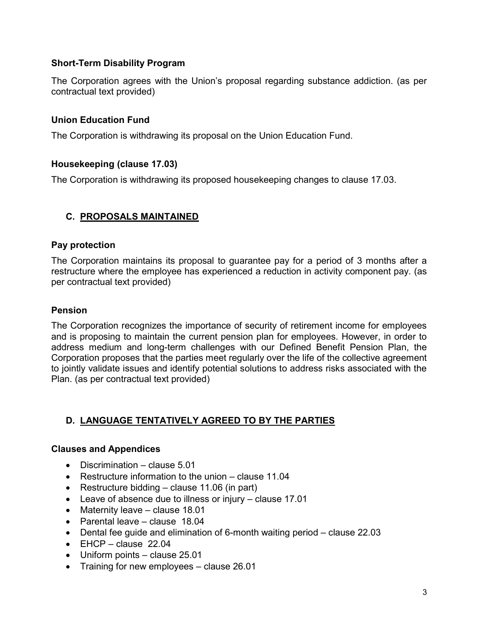## Short-Term Disability Program

The Corporation agrees with the Union's proposal regarding substance addiction. (as per contractual text provided)

#### Union Education Fund

The Corporation is withdrawing its proposal on the Union Education Fund.

### Housekeeping (clause 17.03)

The Corporation is withdrawing its proposed housekeeping changes to clause 17.03.

## C. PROPOSALS MAINTAINED

### Pay protection

The Corporation maintains its proposal to guarantee pay for a period of 3 months after a restructure where the employee has experienced a reduction in activity component pay. (as per contractual text provided)

#### Pension

The Corporation recognizes the importance of security of retirement income for employees and is proposing to maintain the current pension plan for employees. However, in order to address medium and long-term challenges with our Defined Benefit Pension Plan, the Corporation proposes that the parties meet regularly over the life of the collective agreement to jointly validate issues and identify potential solutions to address risks associated with the Plan. (as per contractual text provided)

# D. LANGUAGE TENTATIVELY AGREED TO BY THE PARTIES

#### Clauses and Appendices

- Discrimination clause 5.01
- Restructure information to the union clause 11.04
- Restructure bidding  $-$  clause 11.06 (in part)
- Leave of absence due to illness or injury clause 17.01
- Maternity leave clause 18.01
- Parental leave clause 18.04
- Dental fee guide and elimination of 6-month waiting period clause 22.03
- $\bullet$  EHCP clause 22.04
- Uniform points clause 25.01
- Training for new employees clause 26.01